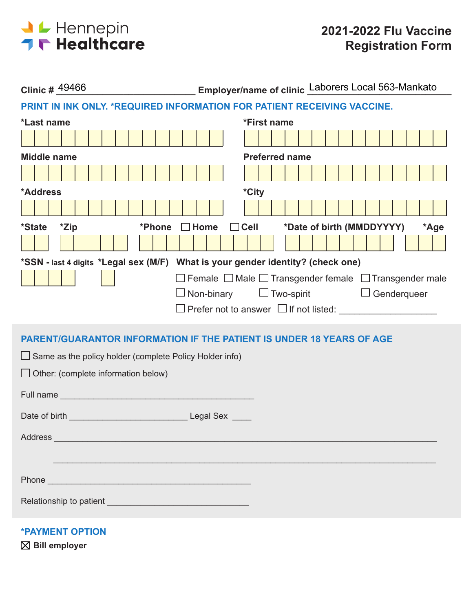

| Employer/name of clinic Laborers Local 563-Mankato<br>Clinic # 49466                                                                                                                                                           |  |  |  |  |  |  |  |  |
|--------------------------------------------------------------------------------------------------------------------------------------------------------------------------------------------------------------------------------|--|--|--|--|--|--|--|--|
| PRINT IN INK ONLY. *REQUIRED INFORMATION FOR PATIENT RECEIVING VACCINE.                                                                                                                                                        |  |  |  |  |  |  |  |  |
| *First name<br>*Last name                                                                                                                                                                                                      |  |  |  |  |  |  |  |  |
|                                                                                                                                                                                                                                |  |  |  |  |  |  |  |  |
| <b>Preferred name</b><br><b>Middle name</b>                                                                                                                                                                                    |  |  |  |  |  |  |  |  |
|                                                                                                                                                                                                                                |  |  |  |  |  |  |  |  |
| *City<br>*Address                                                                                                                                                                                                              |  |  |  |  |  |  |  |  |
|                                                                                                                                                                                                                                |  |  |  |  |  |  |  |  |
| $\Box$ Cell<br>*Date of birth (MMDDYYYY)<br>*Zip<br>$\Box$ Home<br>*Phone<br><i>*State</i><br>*Age                                                                                                                             |  |  |  |  |  |  |  |  |
|                                                                                                                                                                                                                                |  |  |  |  |  |  |  |  |
| *SSN - last 4 digits *Legal sex (M/F) What is your gender identity? (check one)                                                                                                                                                |  |  |  |  |  |  |  |  |
| $\Box$ Female $\Box$ Male $\Box$ Transgender female $\Box$ Transgender male                                                                                                                                                    |  |  |  |  |  |  |  |  |
| $\square$ Non-binary<br>$\Box$ Two-spirit $\Box$ Genderqueer                                                                                                                                                                   |  |  |  |  |  |  |  |  |
|                                                                                                                                                                                                                                |  |  |  |  |  |  |  |  |
| <b>PARENT/GUARANTOR INFORMATION IF THE PATIENT IS UNDER 18 YEARS OF AGE</b>                                                                                                                                                    |  |  |  |  |  |  |  |  |
| $\Box$ Same as the policy holder (complete Policy Holder info)                                                                                                                                                                 |  |  |  |  |  |  |  |  |
| $\Box$ Other: (complete information below)                                                                                                                                                                                     |  |  |  |  |  |  |  |  |
|                                                                                                                                                                                                                                |  |  |  |  |  |  |  |  |
|                                                                                                                                                                                                                                |  |  |  |  |  |  |  |  |
|                                                                                                                                                                                                                                |  |  |  |  |  |  |  |  |
| Address and the contract of the contract of the contract of the contract of the contract of the contract of the contract of the contract of the contract of the contract of the contract of the contract of the contract of th |  |  |  |  |  |  |  |  |
|                                                                                                                                                                                                                                |  |  |  |  |  |  |  |  |
|                                                                                                                                                                                                                                |  |  |  |  |  |  |  |  |
| Phone <b>Property Phone Property Property Property Property Property Property Property Property Property Property Property Property Property Property Property Property Property Property</b>                                  |  |  |  |  |  |  |  |  |
|                                                                                                                                                                                                                                |  |  |  |  |  |  |  |  |
|                                                                                                                                                                                                                                |  |  |  |  |  |  |  |  |

**\*PAYMENT OPTION**

**Bill employer**